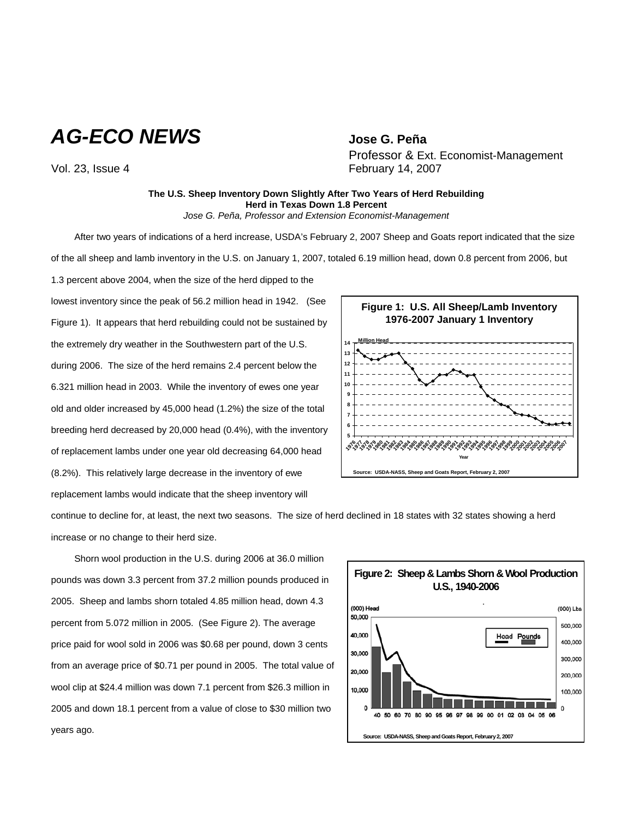*AG-ECO NEWS* **Jose G. Peña**

Professor & Ext. Economist-Management Vol. 23, Issue 4 **February 14, 2007** 

## **The U.S. Sheep Inventory Down Slightly After Two Years of Herd Rebuilding Herd in Texas Down 1.8 Percent** *Jose G. Peña, Professor and Extension Economist-Management*

After two years of indications of a herd increase, USDA's February 2, 2007 Sheep and Goats report indicated that the size of the all sheep and lamb inventory in the U.S. on January 1, 2007, totaled 6.19 million head, down 0.8 percent from 2006, but

1.3 percent above 2004, when the size of the herd dipped to the lowest inventory since the peak of 56.2 million head in 1942. (See Figure 1). It appears that herd rebuilding could not be sustained by the extremely dry weather in the Southwestern part of the U.S. during 2006. The size of the herd remains 2.4 percent below the 6.321 million head in 2003. While the inventory of ewes one year old and older increased by 45,000 head (1.2%) the size of the total breeding herd decreased by 20,000 head (0.4%), with the inventory of replacement lambs under one year old decreasing 64,000 head (8.2%). This relatively large decrease in the inventory of ewe replacement lambs would indicate that the sheep inventory will



continue to decline for, at least, the next two seasons. The size of herd declined in 18 states with 32 states showing a herd increase or no change to their herd size.

Shorn wool production in the U.S. during 2006 at 36.0 million pounds was down 3.3 percent from 37.2 million pounds produced in 2005. Sheep and lambs shorn totaled 4.85 million head, down 4.3 percent from 5.072 million in 2005. (See Figure 2). The average price paid for wool sold in 2006 was \$0.68 per pound, down 3 cents from an average price of \$0.71 per pound in 2005. The total value of wool clip at \$24.4 million was down 7.1 percent from \$26.3 million in 2005 and down 18.1 percent from a value of close to \$30 million two years ago.

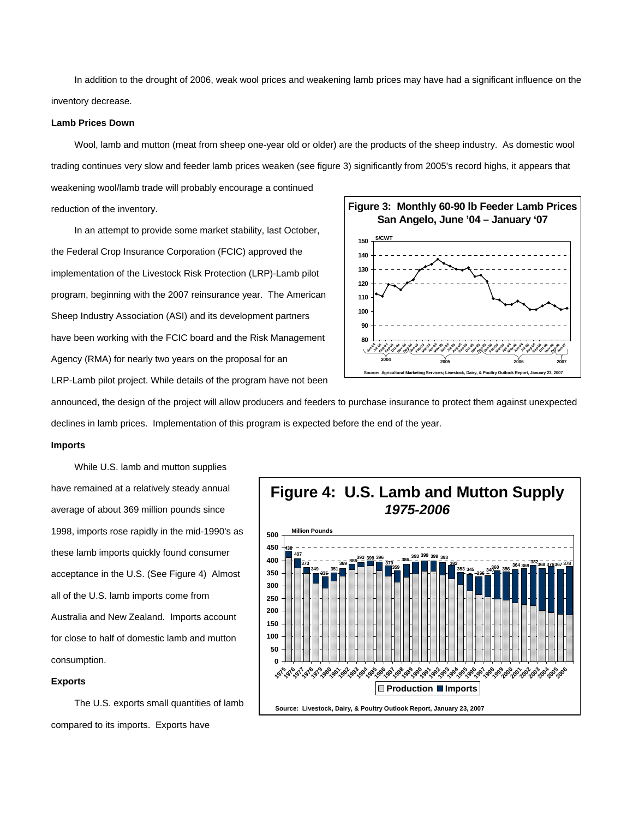In addition to the drought of 2006, weak wool prices and weakening lamb prices may have had a significant influence on the inventory decrease.

# **Lamb Prices Down**

Wool, lamb and mutton (meat from sheep one-year old or older) are the products of the sheep industry. As domestic wool trading continues very slow and feeder lamb prices weaken (see figure 3) significantly from 2005's record highs, it appears that

weakening wool/lamb trade will probably encourage a continued reduction of the inventory.

In an attempt to provide some market stability, last October, the Federal Crop Insurance Corporation (FCIC) approved the implementation of the Livestock Risk Protection (LRP)-Lamb pilot program, beginning with the 2007 reinsurance year. The American Sheep Industry Association (ASI) and its development partners have been working with the FCIC board and the Risk Management Agency (RMA) for nearly two years on the proposal for an LRP-Lamb pilot project. While details of the program have not been



announced, the design of the project will allow producers and feeders to purchase insurance to protect them against unexpected declines in lamb prices. Implementation of this program is expected before the end of the year.

## **Imports**

While U.S. lamb and mutton supplies have remained at a relatively steady annual average of about 369 million pounds since 1998, imports rose rapidly in the mid-1990's as these lamb imports quickly found consumer acceptance in the U.S. (See Figure 4) Almost all of the U.S. lamb imports come from Australia and New Zealand. Imports account for close to half of domestic lamb and mutton consumption.

#### **Exports**

The U.S. exports small quantities of lamb compared to its imports. Exports have